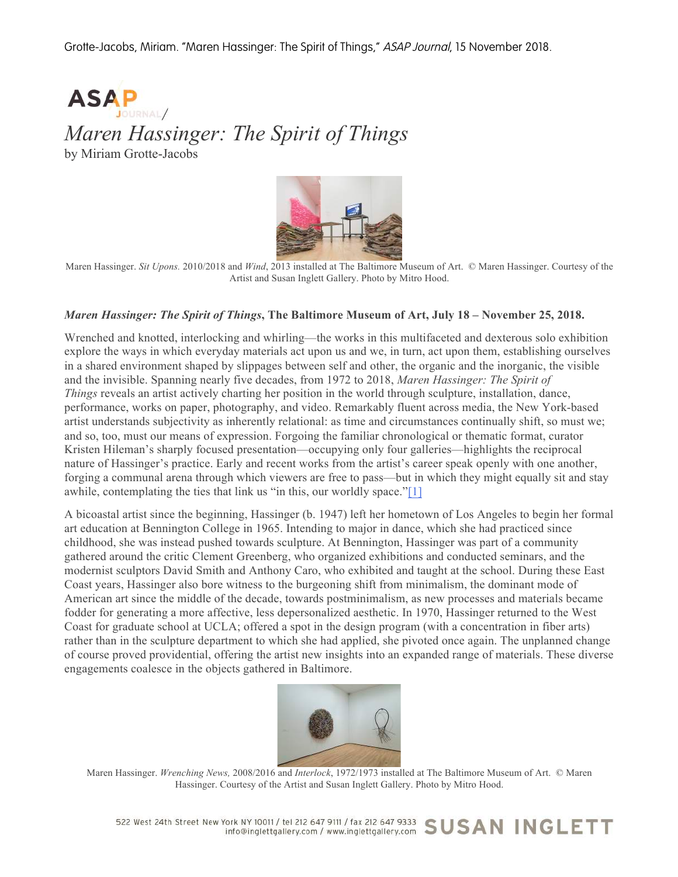Grotte-Jacobs, Miriam. "Maren Hassinger: The Spirit of Things," ASAP Journal, 15 November 2018.



## *Maren Hassinger: The Spirit of Things*

by Miriam Grotte-Jacobs



Maren Hassinger. *Sit Upons.* 2010/2018 and *Wind*, 2013 installed at The Baltimore Museum of Art. © Maren Hassinger. Courtesy of the Artist and Susan Inglett Gallery. Photo by Mitro Hood.

## *Maren Hassinger: The Spirit of Things***, The Baltimore Museum of Art, July 18 – November 25, 2018.**

Wrenched and knotted, interlocking and whirling—the works in this multifaceted and dexterous solo exhibition explore the ways in which everyday materials act upon us and we, in turn, act upon them, establishing ourselves in a shared environment shaped by slippages between self and other, the organic and the inorganic, the visible and the invisible. Spanning nearly five decades, from 1972 to 2018, *Maren Hassinger: The Spirit of Things* reveals an artist actively charting her position in the world through sculpture, installation, dance, performance, works on paper, photography, and video. Remarkably fluent across media, the New York-based artist understands subjectivity as inherently relational: as time and circumstances continually shift, so must we; and so, too, must our means of expression. Forgoing the familiar chronological or thematic format, curator Kristen Hileman's sharply focused presentation—occupying only four galleries—highlights the reciprocal nature of Hassinger's practice. Early and recent works from the artist's career speak openly with one another, forging a communal arena through which viewers are free to pass—but in which they might equally sit and stay awhile, contemplating the ties that link us "in this, our worldly space."[1]

A bicoastal artist since the beginning, Hassinger (b. 1947) left her hometown of Los Angeles to begin her formal art education at Bennington College in 1965. Intending to major in dance, which she had practiced since childhood, she was instead pushed towards sculpture. At Bennington, Hassinger was part of a community gathered around the critic Clement Greenberg, who organized exhibitions and conducted seminars, and the modernist sculptors David Smith and Anthony Caro, who exhibited and taught at the school. During these East Coast years, Hassinger also bore witness to the burgeoning shift from minimalism, the dominant mode of American art since the middle of the decade, towards postminimalism, as new processes and materials became fodder for generating a more affective, less depersonalized aesthetic. In 1970, Hassinger returned to the West Coast for graduate school at UCLA; offered a spot in the design program (with a concentration in fiber arts) rather than in the sculpture department to which she had applied, she pivoted once again. The unplanned change of course proved providential, offering the artist new insights into an expanded range of materials. These diverse engagements coalesce in the objects gathered in Baltimore.



Maren Hassinger. *Wrenching News,* 2008/2016 and *Interlock*, 1972/1973 installed at The Baltimore Museum of Art. © Maren Hassinger. Courtesy of the Artist and Susan Inglett Gallery. Photo by Mitro Hood.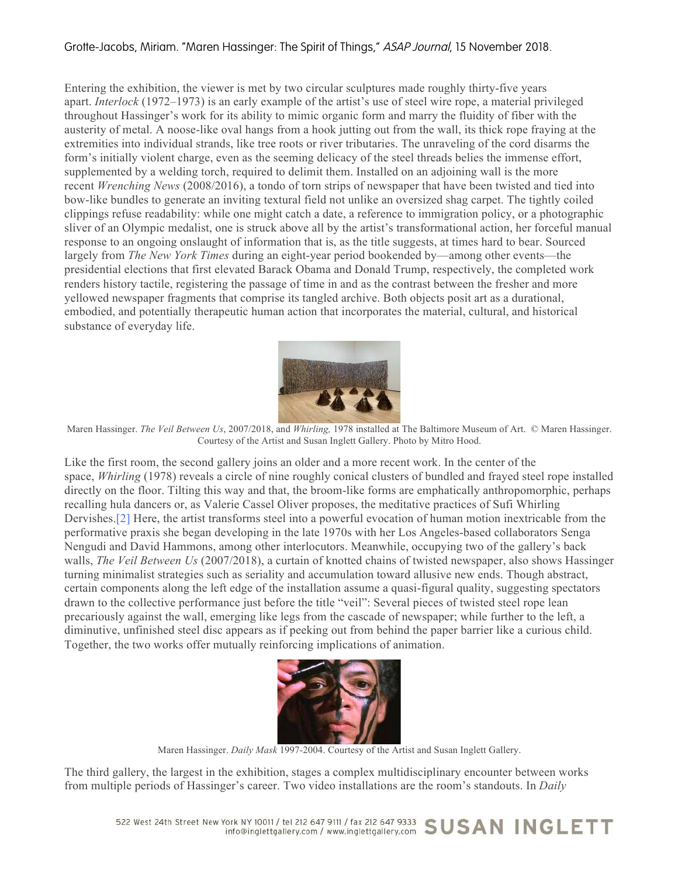## Grotte-Jacobs, Miriam. "Maren Hassinger: The Spirit of Things," ASAP Journal, 15 November 2018.

Entering the exhibition, the viewer is met by two circular sculptures made roughly thirty-five years apart. *Interlock* (1972–1973) is an early example of the artist's use of steel wire rope, a material privileged throughout Hassinger's work for its ability to mimic organic form and marry the fluidity of fiber with the austerity of metal. A noose-like oval hangs from a hook jutting out from the wall, its thick rope fraying at the extremities into individual strands, like tree roots or river tributaries. The unraveling of the cord disarms the form's initially violent charge, even as the seeming delicacy of the steel threads belies the immense effort, supplemented by a welding torch, required to delimit them. Installed on an adjoining wall is the more recent *Wrenching News* (2008/2016), a tondo of torn strips of newspaper that have been twisted and tied into bow-like bundles to generate an inviting textural field not unlike an oversized shag carpet. The tightly coiled clippings refuse readability: while one might catch a date, a reference to immigration policy, or a photographic sliver of an Olympic medalist, one is struck above all by the artist's transformational action, her forceful manual response to an ongoing onslaught of information that is, as the title suggests, at times hard to bear. Sourced largely from *The New York Times* during an eight-year period bookended by—among other events—the presidential elections that first elevated Barack Obama and Donald Trump, respectively, the completed work renders history tactile, registering the passage of time in and as the contrast between the fresher and more yellowed newspaper fragments that comprise its tangled archive. Both objects posit art as a durational, embodied, and potentially therapeutic human action that incorporates the material, cultural, and historical substance of everyday life.



Maren Hassinger. *The Veil Between Us*, 2007/2018, and *Whirling,* 1978 installed at The Baltimore Museum of Art. © Maren Hassinger. Courtesy of the Artist and Susan Inglett Gallery. Photo by Mitro Hood.

Like the first room, the second gallery joins an older and a more recent work. In the center of the space, *Whirling* (1978) reveals a circle of nine roughly conical clusters of bundled and frayed steel rope installed directly on the floor. Tilting this way and that, the broom-like forms are emphatically anthropomorphic, perhaps recalling hula dancers or, as Valerie Cassel Oliver proposes, the meditative practices of Sufi Whirling Dervishes.[2] Here, the artist transforms steel into a powerful evocation of human motion inextricable from the performative praxis she began developing in the late 1970s with her Los Angeles-based collaborators Senga Nengudi and David Hammons, among other interlocutors. Meanwhile, occupying two of the gallery's back walls, *The Veil Between Us* (2007/2018), a curtain of knotted chains of twisted newspaper, also shows Hassinger turning minimalist strategies such as seriality and accumulation toward allusive new ends. Though abstract, certain components along the left edge of the installation assume a quasi-figural quality, suggesting spectators drawn to the collective performance just before the title "veil": Several pieces of twisted steel rope lean precariously against the wall, emerging like legs from the cascade of newspaper; while further to the left, a diminutive, unfinished steel disc appears as if peeking out from behind the paper barrier like a curious child. Together, the two works offer mutually reinforcing implications of animation.



Maren Hassinger. *Daily Mask* 1997-2004. Courtesy of the Artist and Susan Inglett Gallery.

The third gallery, the largest in the exhibition, stages a complex multidisciplinary encounter between works from multiple periods of Hassinger's career. Two video installations are the room's standouts. In *Daily*